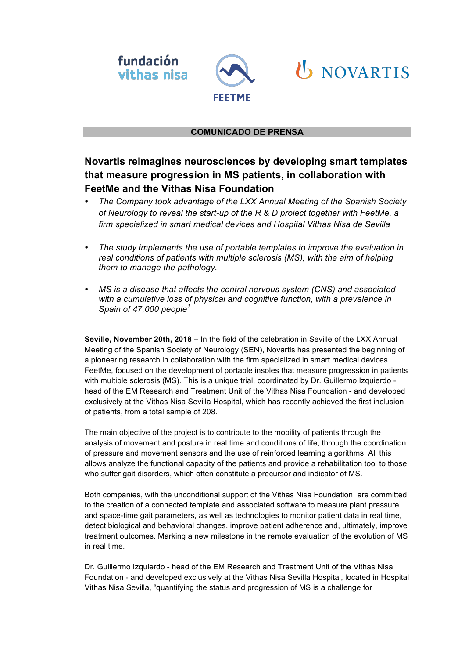



# **U** NOVARTIS

### **COMUNICADO DE PRENSA**

## **Novartis reimagines neurosciences by developing smart templates that measure progression in MS patients, in collaboration with FeetMe and the Vithas Nisa Foundation**

- *The Company took advantage of the LXX Annual Meeting of the Spanish Society of Neurology to reveal the start-up of the R & D project together with FeetMe, a firm specialized in smart medical devices and Hospital Vithas Nisa de Sevilla*
- *The study implements the use of portable templates to improve the evaluation in real conditions of patients with multiple sclerosis (MS), with the aim of helping them to manage the pathology.*
- *MS is a disease that affects the central nervous system (CNS) and associated with a cumulative loss of physical and cognitive function, with a prevalence in Spain of 47,000 people<sup>1</sup>*

**Seville, November 20th, 2018 –** In the field of the celebration in Seville of the LXX Annual Meeting of the Spanish Society of Neurology (SEN), Novartis has presented the beginning of a pioneering research in collaboration with the firm specialized in smart medical devices FeetMe, focused on the development of portable insoles that measure progression in patients with multiple sclerosis (MS). This is a unique trial, coordinated by Dr. Guillermo Izquierdo head of the EM Research and Treatment Unit of the Vithas Nisa Foundation - and developed exclusively at the Vithas Nisa Sevilla Hospital, which has recently achieved the first inclusion of patients, from a total sample of 208.

The main objective of the project is to contribute to the mobility of patients through the analysis of movement and posture in real time and conditions of life, through the coordination of pressure and movement sensors and the use of reinforced learning algorithms. All this allows analyze the functional capacity of the patients and provide a rehabilitation tool to those who suffer gait disorders, which often constitute a precursor and indicator of MS.

Both companies, with the unconditional support of the Vithas Nisa Foundation, are committed to the creation of a connected template and associated software to measure plant pressure and space-time gait parameters, as well as technologies to monitor patient data in real time, detect biological and behavioral changes, improve patient adherence and, ultimately, improve treatment outcomes. Marking a new milestone in the remote evaluation of the evolution of MS in real time.

Dr. Guillermo Izquierdo - head of the EM Research and Treatment Unit of the Vithas Nisa Foundation - and developed exclusively at the Vithas Nisa Sevilla Hospital, located in Hospital Vithas Nisa Sevilla, "quantifying the status and progression of MS is a challenge for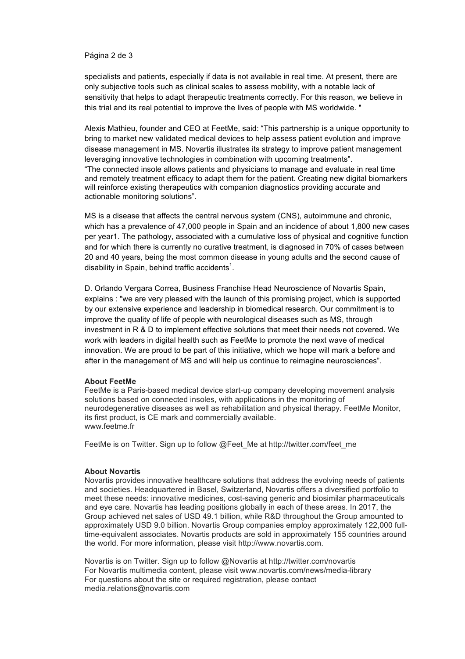#### Página 2 de 3

specialists and patients, especially if data is not available in real time. At present, there are only subjective tools such as clinical scales to assess mobility, with a notable lack of sensitivity that helps to adapt therapeutic treatments correctly. For this reason, we believe in this trial and its real potential to improve the lives of people with MS worldwide. "

Alexis Mathieu, founder and CEO at FeetMe, said: "This partnership is a unique opportunity to bring to market new validated medical devices to help assess patient evolution and improve disease management in MS. Novartis illustrates its strategy to improve patient management leveraging innovative technologies in combination with upcoming treatments". "The connected insole allows patients and physicians to manage and evaluate in real time and remotely treatment efficacy to adapt them for the patient. Creating new digital biomarkers will reinforce existing therapeutics with companion diagnostics providing accurate and actionable monitoring solutions".

MS is a disease that affects the central nervous system (CNS), autoimmune and chronic, which has a prevalence of 47,000 people in Spain and an incidence of about 1,800 new cases per year1. The pathology, associated with a cumulative loss of physical and cognitive function and for which there is currently no curative treatment, is diagnosed in 70% of cases between 20 and 40 years, being the most common disease in young adults and the second cause of disability in Spain, behind traffic accidents<sup>1</sup>.

D. Orlando Vergara Correa, Business Franchise Head Neuroscience of Novartis Spain, explains : "we are very pleased with the launch of this promising project, which is supported by our extensive experience and leadership in biomedical research. Our commitment is to improve the quality of life of people with neurological diseases such as MS, through investment in R & D to implement effective solutions that meet their needs not covered. We work with leaders in digital health such as FeetMe to promote the next wave of medical innovation. We are proud to be part of this initiative, which we hope will mark a before and after in the management of MS and will help us continue to reimagine neurosciences".

#### **About FeetMe**

FeetMe is a Paris-based medical device start-up company developing movement analysis solutions based on connected insoles, with applications in the monitoring of neurodegenerative diseases as well as rehabilitation and physical therapy. FeetMe Monitor, its first product, is CE mark and commercially available. www.feetme.fr

FeetMe is on Twitter. Sign up to follow @Feet\_Me at http://twitter.com/feet\_me

#### **About Novartis**

Novartis provides innovative healthcare solutions that address the evolving needs of patients and societies. Headquartered in Basel, Switzerland, Novartis offers a diversified portfolio to meet these needs: innovative medicines, cost-saving generic and biosimilar pharmaceuticals and eye care. Novartis has leading positions globally in each of these areas. In 2017, the Group achieved net sales of USD 49.1 billion, while R&D throughout the Group amounted to approximately USD 9.0 billion. Novartis Group companies employ approximately 122,000 fulltime-equivalent associates. Novartis products are sold in approximately 155 countries around the world. For more information, please visit http://www.novartis.com.

Novartis is on Twitter. Sign up to follow @Novartis at http://twitter.com/novartis For Novartis multimedia content, please visit www.novartis.com/news/media-library For questions about the site or required registration, please contact media.relations@novartis.com